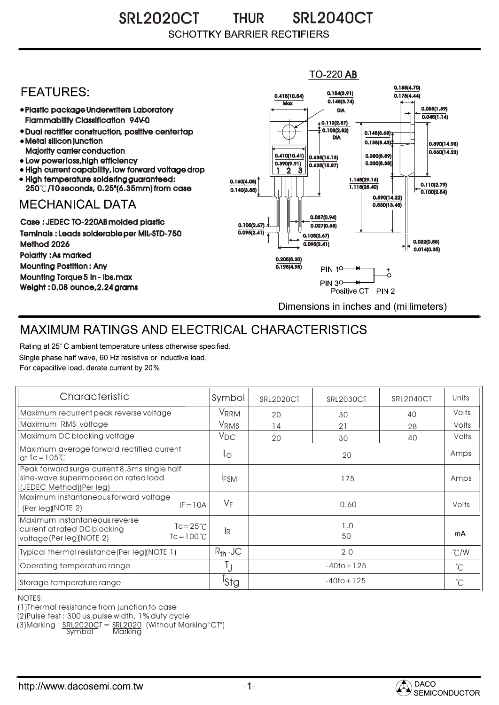SRL2020CT THUR SRL2040CT THUR**SCHOTTKY BARRIER RECTIFIERS** 



## MAXIMUM RATINGS AND ELECTRICAL CHARACTERISTICS

Rating at 25° C ambient temperature unless otherwise specified. Single phase half wave, 60 Hz resistive or inductive load. For capacitive load, derate current by 20%.

| Characteristic                                                                                                                    | Symbol           | <b>SRL2020CT</b> | <b>SRL2030CT</b> | <b>SRL2040CT</b> | Units         |
|-----------------------------------------------------------------------------------------------------------------------------------|------------------|------------------|------------------|------------------|---------------|
| Maximum recurrent peak reverse voltage                                                                                            | VRRM             | 20               | 30               | 40               | Volts         |
| Maximum RMS voltage                                                                                                               | V <sub>RMS</sub> | 14               | 21               | 28               | Volts         |
| Maximum DC blocking voltage                                                                                                       | $V_{DC}$         | 20               | 30               | 40               | Volts         |
| Maximum average forward rectified current<br>at $Ic = 105^{\circ}C$                                                               | Ιo               | 20               |                  |                  | Amps          |
| Peak forward surge current 8.3ms single half<br>sine-wave superimposed on rated load<br>(JEDEC Method)(Per leg)                   | <b>IFSM</b>      | 175              |                  |                  | Amps          |
| Maximum instantaneous forward voltage<br>$IF = 10A$<br>(Per leg)(NOTE 2)                                                          | $V_F$            |                  | 0.60             |                  | Volts         |
| Maximum instantaneous reverse<br>$Tc = 25^{\circ}C$<br>current at rated DC blocking<br>$Tc = 100 °C$<br>voltage (Per leg)(NOTE 2) | 1Ŗ               | 1.0<br>50        |                  |                  | mA            |
| Typical thermal resistance (Per leg) (NOTE 1)                                                                                     | $R_{th}$ -JC     | 2.0              |                  |                  | $\degree$ C/W |
| Operating temperature range                                                                                                       |                  | $-40$ to + 125   |                  |                  | $^{\circ}$ C  |
| Storage temperature range                                                                                                         | <sup>I</sup> Stg | $-40$ to + 125   |                  |                  | $^{\circ}C$   |

NOTES:

(1)Thermal resistance from junction to case

(2)Pulse test : 300 us pulse width, 1% duty cycle

(3)Marking : <u>SRL2020C</u>T = <u>SRL2020</u> (Without Marking "CT") R

Symbol Marking